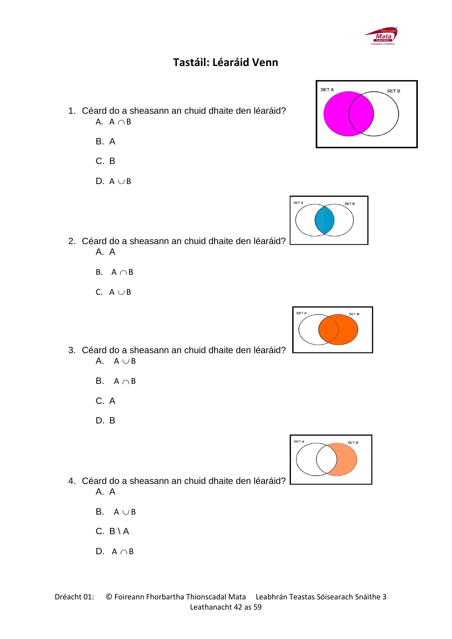## **Tastáil: Léaráid Venn**

- 1. Céard do a sheasann an chuid dhaite den léaráid? A.  $A \cap B$ 
	- B. A
	- C. B
	- D.  $A \cup B$
- 2. Céard do a sheasann an chuid dhaite den léaráid? A. A
	- B.  $A \cap B$
	- C.  $A \cup B$
- 3. Céard do a sheasann an chuid dhaite den léaráid? A.  $A \cup B$ 
	- B.  $A \cap B$
	- C. A
	- D. B
- 4. Céard do a sheasann an chuid dhaite den léaráid? A. A
	- B.  $A \cup B$
	- $C. B \setminus A$
	- D.  $A \cap B$







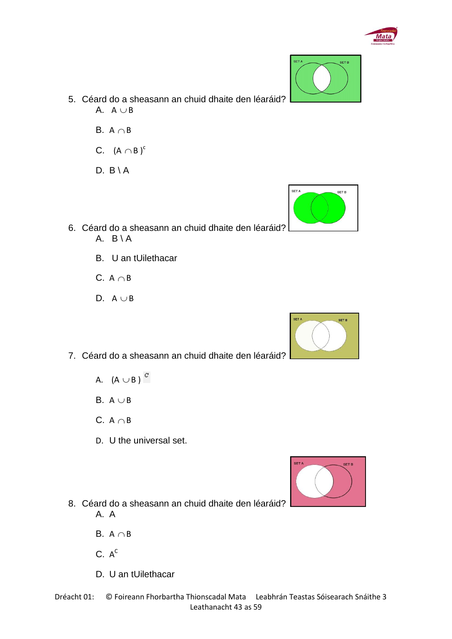

SET A

- 5. Céard do a sheasann an chuid dhaite den léaráid? A.  $A \cup B$ 
	- B.  $A \cap B$
	- C.  $(A \cap B)^c$
	- $D. B \setminus A$
- 6. Céard do a sheasann an chuid dhaite den léaráid? A.  $B \setminus A$ 
	- B. U an tUilethacar
	- C.  $A \cap B$
	- D.  $A \cup B$
- 7. Céard do a sheasann an chuid dhaite den léaráid?
	- A.  $(A \cup B)$
	- B.  $A \cup B$
	- C.  $A \cap B$
	- D. U the universal set.
- 8. Céard do a sheasann an chuid dhaite den léaráid? A. A
	- B.  $A \cap B$
	- $C. A<sup>c</sup>$
	- D. U an tUilethacar



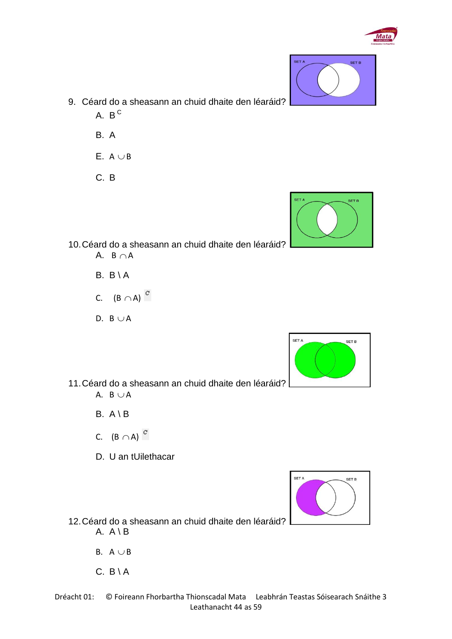

- 9. Céard do a sheasann an chuid dhaite den léaráid? A.  $B^{\,C}$ 
	- B. A
	- $E. A \cup B$
	- C. B



10.Céard do a sheasann an chuid dhaite den léaráid?

- A.  $B \cap A$
- $B. B \setminus A$
- C.  $(B \cap A)$
- D.  $B \cup A$



11.Céard do a sheasann an chuid dhaite den léaráid? A.  $B \cup A$ 

- B. A \ B
- C.  $(B \cap A)$
- D. U an tUilethacar



12.Céard do a sheasann an chuid dhaite den léaráid? A.  $A \ B$ 

- B.  $A \cup B$
- $C. B \setminus A$